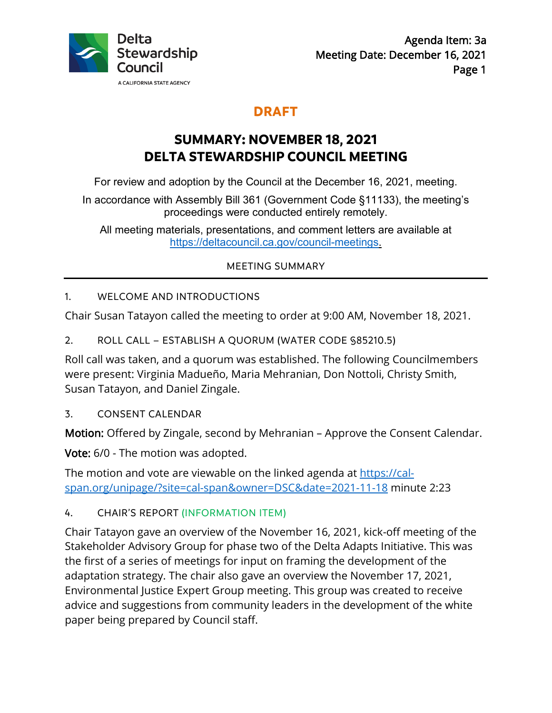

# **DRAFT**

# **SUMMARY: NOVEMBER 18, 2021 DELTA STEWARDSHIP COUNCIL MEETING**

For review and adoption by the Council at the December 16, 2021, meeting.

In accordance with Assembly Bill 361 (Government Code §11133), the meeting's proceedings were conducted entirely remotely.

All meeting materials, presentations, and comment letters are available at [https://deltacouncil.ca.gov/council-meetings.](https://deltacouncil.ca.gov/council-meetings)

## MEETING SUMMARY

## 1. WELCOME AND INTRODUCTIONS

Chair Susan Tatayon called the meeting to order at 9:00 AM, November 18, 2021.

2. ROLL CALL – ESTABLISH A QUORUM (WATER CODE §85210.5)

Roll call was taken, and a quorum was established. The following Councilmembers were present: Virginia Madueño, Maria Mehranian, Don Nottoli, Christy Smith, Susan Tatayon, and Daniel Zingale.

3. CONSENT CALENDAR

Motion: Offered by Zingale, second by Mehranian – Approve the Consent Calendar.

Vote: 6/0 - The motion was adopted.

The motion and vote are viewable on the linked agenda at [https://cal](https://cal-span.org/unipage/?site=cal-span&owner=DSC&date=2021-11-18)[span.org/unipage/?site=cal-span&owner=DSC&date=2021-11-18](https://cal-span.org/unipage/?site=cal-span&owner=DSC&date=2021-11-18) minute 2:23

### 4. CHAIR'S REPORT (INFORMATION ITEM)

Chair Tatayon gave an overview of the November 16, 2021, kick-off meeting of the Stakeholder Advisory Group for phase two of the Delta Adapts Initiative. This was the first of a series of meetings for input on framing the development of the adaptation strategy. The chair also gave an overview the November 17, 2021, Environmental Justice Expert Group meeting. This group was created to receive advice and suggestions from community leaders in the development of the white paper being prepared by Council staff.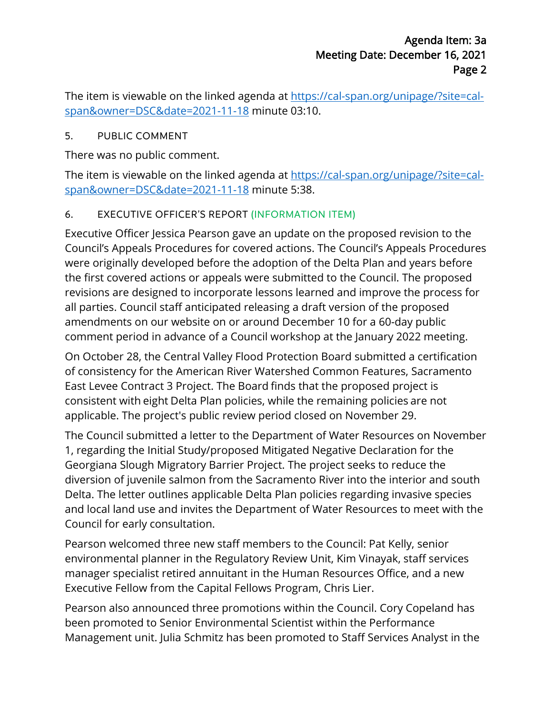The item is viewable on the linked agenda at [https://cal-span.org/unipage/?site=cal](https://cal-span.org/unipage/?site=cal-span&owner=DSC&date=2021-11-18)[span&owner=DSC&date=2021-11-18](https://cal-span.org/unipage/?site=cal-span&owner=DSC&date=2021-11-18) minute 03:10.

### 5. PUBLIC COMMENT

There was no public comment.

The item is viewable on the linked agenda at [https://cal-span.org/unipage/?site=cal](https://cal-span.org/unipage/?site=cal-span&owner=DSC&date=2021-11-18)[span&owner=DSC&date=2021-11-18](https://cal-span.org/unipage/?site=cal-span&owner=DSC&date=2021-11-18) minute 5:38.

## 6. EXECUTIVE OFFICER'S REPORT (INFORMATION ITEM)

Executive Officer Jessica Pearson gave an update on the proposed revision to the Council's Appeals Procedures for covered actions. The Council's Appeals Procedures were originally developed before the adoption of the Delta Plan and years before the first covered actions or appeals were submitted to the Council. The proposed revisions are designed to incorporate lessons learned and improve the process for all parties. Council staff anticipated releasing a draft version of the proposed amendments on our website on or around December 10 for a 60-day public comment period in advance of a Council workshop at the January 2022 meeting.

On October 28, the Central Valley Flood Protection Board submitted a certification of consistency for the American River Watershed Common Features, Sacramento East Levee Contract 3 Project. The Board finds that the proposed project is consistent with eight Delta Plan policies, while the remaining policies are not applicable. The project's public review period closed on November 29.

The Council submitted a letter to the Department of Water Resources on November 1, regarding the Initial Study/proposed Mitigated Negative Declaration for the Georgiana Slough Migratory Barrier Project. The project seeks to reduce the diversion of juvenile salmon from the Sacramento River into the interior and south Delta. The letter outlines applicable Delta Plan policies regarding invasive species and local land use and invites the Department of Water Resources to meet with the Council for early consultation.

Pearson welcomed three new staff members to the Council: Pat Kelly, senior environmental planner in the Regulatory Review Unit, Kim Vinayak, staff services manager specialist retired annuitant in the Human Resources Office, and a new Executive Fellow from the Capital Fellows Program, Chris Lier.

Pearson also announced three promotions within the Council. Cory Copeland has been promoted to Senior Environmental Scientist within the Performance Management unit. Julia Schmitz has been promoted to Staff Services Analyst in the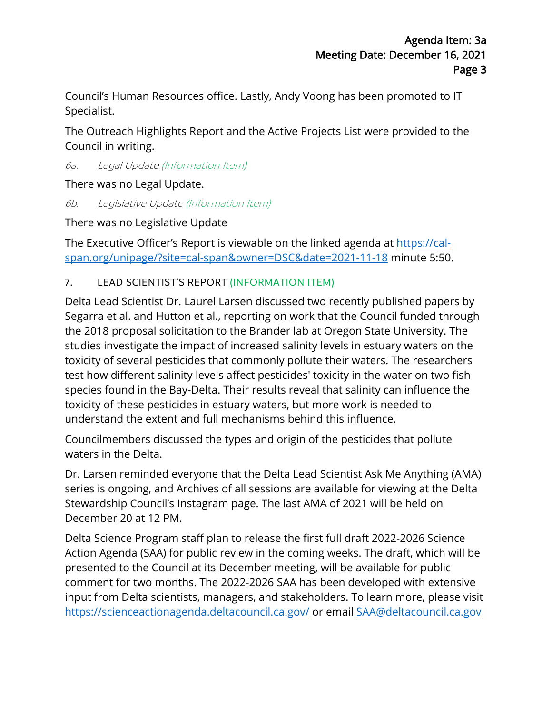Council's Human Resources office. Lastly, Andy Voong has been promoted to IT Specialist.

The Outreach Highlights Report and the Active Projects List were provided to the Council in writing.

6a. Legal Update (Information Item)

There was no Legal Update.

6b. Legislative Update (Information Item)

There was no Legislative Update

The Executive Officer's Report is viewable on the linked agenda at [https://cal](https://cal-span.org/unipage/?site=cal-span&owner=DSC&date=2021-11-18)[span.org/unipage/?site=cal-span&owner=DSC&date=2021-11-18](https://cal-span.org/unipage/?site=cal-span&owner=DSC&date=2021-11-18) minute 5:50.

#### 7. LEAD SCIENTIST'S REPORT (INFORMATION ITEM)

Delta Lead Scientist Dr. Laurel Larsen discussed two recently published papers by Segarra et al. and Hutton et al., reporting on work that the Council funded through the 2018 proposal solicitation to the Brander lab at Oregon State University. The studies investigate the impact of increased salinity levels in estuary waters on the toxicity of several pesticides that commonly pollute their waters. The researchers test how different salinity levels affect pesticides' toxicity in the water on two fish species found in the Bay-Delta. Their results reveal that salinity can influence the toxicity of these pesticides in estuary waters, but more work is needed to understand the extent and full mechanisms behind this influence.

Councilmembers discussed the types and origin of the pesticides that pollute waters in the Delta.

Dr. Larsen reminded everyone that the Delta Lead Scientist Ask Me Anything (AMA) series is ongoing, and Archives of all sessions are available for viewing at the Delta Stewardship Council's Instagram page. The last AMA of 2021 will be held on December 20 at 12 PM.

Delta Science Program staff plan to release the first full draft 2022-2026 Science Action Agenda (SAA) for public review in the coming weeks. The draft, which will be presented to the Council at its December meeting, will be available for public comment for two months. The 2022-2026 SAA has been developed with extensive input from Delta scientists, managers, and stakeholders. To learn more, please visit <https://scienceactionagenda.deltacouncil.ca.gov/> or email [SAA@deltacouncil.ca.gov](mailto:SAA@deltacouncil.ca.gov)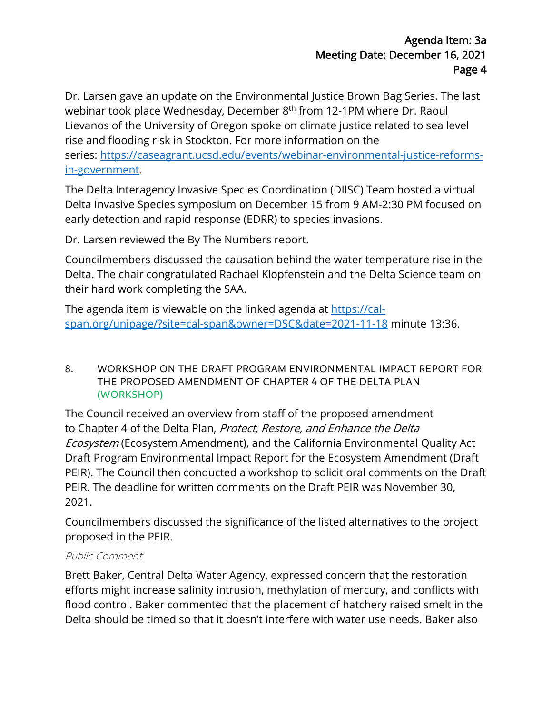Dr. Larsen gave an update on the Environmental Justice Brown Bag Series. The last webinar took place Wednesday, December 8<sup>th</sup> from 12-1PM where Dr. Raoul Lievanos of the University of Oregon spoke on climate justice related to sea level rise and flooding risk in Stockton. For more information on the series: [https://caseagrant.ucsd.edu/events/webinar-environmental-justice-reforms](https://caseagrant.ucsd.edu/events/webinar-environmental-justice-reforms-in-government)[in-government.](https://caseagrant.ucsd.edu/events/webinar-environmental-justice-reforms-in-government)

The Delta Interagency Invasive Species Coordination (DIISC) Team hosted a virtual Delta Invasive Species symposium on December 15 from 9 AM-2:30 PM focused on early detection and rapid response (EDRR) to species invasions.

Dr. Larsen reviewed the By The Numbers report.

Councilmembers discussed the causation behind the water temperature rise in the Delta. The chair congratulated Rachael Klopfenstein and the Delta Science team on their hard work completing the SAA.

The agenda item is viewable on the linked agenda at [https://cal](https://cal-span.org/unipage/?site=cal-span&owner=DSC&date=2021-11-18)[span.org/unipage/?site=cal-span&owner=DSC&date=2021-11-18](https://cal-span.org/unipage/?site=cal-span&owner=DSC&date=2021-11-18) minute 13:36.

8. WORKSHOP ON THE DRAFT PROGRAM ENVIRONMENTAL IMPACT REPORT FOR THE PROPOSED AMENDMENT OF CHAPTER 4 OF THE DELTA PLAN (WORKSHOP)

The Council received an overview from staff of the proposed amendment to Chapter 4 of the Delta Plan, Protect, Restore, and Enhance the Delta Ecosystem (Ecosystem Amendment), and the California Environmental Quality Act Draft Program Environmental Impact Report for the Ecosystem Amendment (Draft PEIR). The Council then conducted a workshop to solicit oral comments on the Draft PEIR. The deadline for written comments on the Draft PEIR was November 30, 2021.

Councilmembers discussed the significance of the listed alternatives to the project proposed in the PEIR.

#### Public Comment

Brett Baker, Central Delta Water Agency, expressed concern that the restoration efforts might increase salinity intrusion, methylation of mercury, and conflicts with flood control. Baker commented that the placement of hatchery raised smelt in the Delta should be timed so that it doesn't interfere with water use needs. Baker also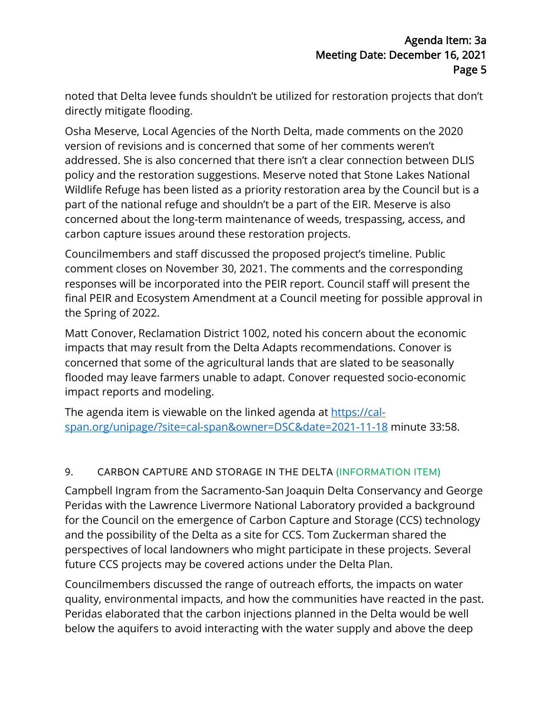noted that Delta levee funds shouldn't be utilized for restoration projects that don't directly mitigate flooding.

Osha Meserve, Local Agencies of the North Delta, made comments on the 2020 version of revisions and is concerned that some of her comments weren't addressed. She is also concerned that there isn't a clear connection between DLIS policy and the restoration suggestions. Meserve noted that Stone Lakes National Wildlife Refuge has been listed as a priority restoration area by the Council but is a part of the national refuge and shouldn't be a part of the EIR. Meserve is also concerned about the long-term maintenance of weeds, trespassing, access, and carbon capture issues around these restoration projects.

Councilmembers and staff discussed the proposed project's timeline. Public comment closes on November 30, 2021. The comments and the corresponding responses will be incorporated into the PEIR report. Council staff will present the final PEIR and Ecosystem Amendment at a Council meeting for possible approval in the Spring of 2022.

Matt Conover, Reclamation District 1002, noted his concern about the economic impacts that may result from the Delta Adapts recommendations. Conover is concerned that some of the agricultural lands that are slated to be seasonally flooded may leave farmers unable to adapt. Conover requested socio-economic impact reports and modeling.

The agenda item is viewable on the linked agenda at [https://cal](https://cal-span.org/unipage/?site=cal-span&owner=DSC&date=2021-11-18)[span.org/unipage/?site=cal-span&owner=DSC&date=2021-11-18](https://cal-span.org/unipage/?site=cal-span&owner=DSC&date=2021-11-18) minute 33:58.

### 9. CARBON CAPTURE AND STORAGE IN THE DELTA (INFORMATION ITEM)

Campbell Ingram from the Sacramento-San Joaquin Delta Conservancy and George Peridas with the Lawrence Livermore National Laboratory provided a background for the Council on the emergence of Carbon Capture and Storage (CCS) technology and the possibility of the Delta as a site for CCS. Tom Zuckerman shared the perspectives of local landowners who might participate in these projects. Several future CCS projects may be covered actions under the Delta Plan.

Councilmembers discussed the range of outreach efforts, the impacts on water quality, environmental impacts, and how the communities have reacted in the past. Peridas elaborated that the carbon injections planned in the Delta would be well below the aquifers to avoid interacting with the water supply and above the deep